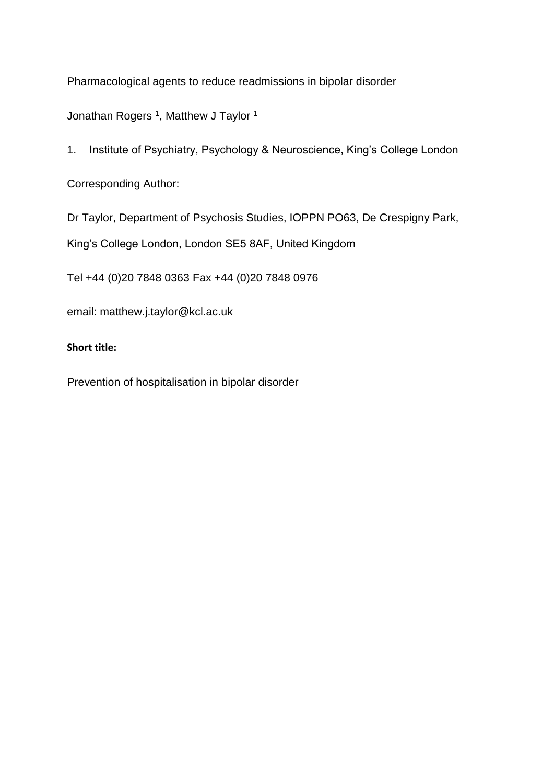Pharmacological agents to reduce readmissions in bipolar disorder

Jonathan Rogers <sup>1</sup>, Matthew J Taylor <sup>1</sup>

1. Institute of Psychiatry, Psychology & Neuroscience, King's College London

Corresponding Author:

Dr Taylor, Department of Psychosis Studies, IOPPN PO63, De Crespigny Park,

King's College London, London SE5 8AF, United Kingdom

Tel +44 (0)20 7848 0363 Fax +44 (0)20 7848 0976

email: matthew.j.taylor@kcl.ac.uk

# **Short title:**

Prevention of hospitalisation in bipolar disorder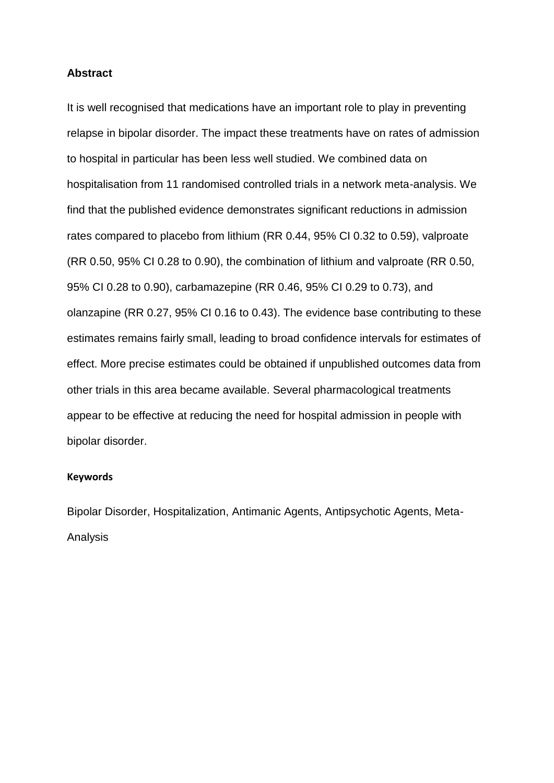### **Abstract**

It is well recognised that medications have an important role to play in preventing relapse in bipolar disorder. The impact these treatments have on rates of admission to hospital in particular has been less well studied. We combined data on hospitalisation from 11 randomised controlled trials in a network meta-analysis. We find that the published evidence demonstrates significant reductions in admission rates compared to placebo from lithium (RR 0.44, 95% CI 0.32 to 0.59), valproate (RR 0.50, 95% CI 0.28 to 0.90), the combination of lithium and valproate (RR 0.50, 95% CI 0.28 to 0.90), carbamazepine (RR 0.46, 95% CI 0.29 to 0.73), and olanzapine (RR 0.27, 95% CI 0.16 to 0.43). The evidence base contributing to these estimates remains fairly small, leading to broad confidence intervals for estimates of effect. More precise estimates could be obtained if unpublished outcomes data from other trials in this area became available. Several pharmacological treatments appear to be effective at reducing the need for hospital admission in people with bipolar disorder.

#### **Keywords**

Bipolar Disorder, Hospitalization, Antimanic Agents, Antipsychotic Agents, Meta-Analysis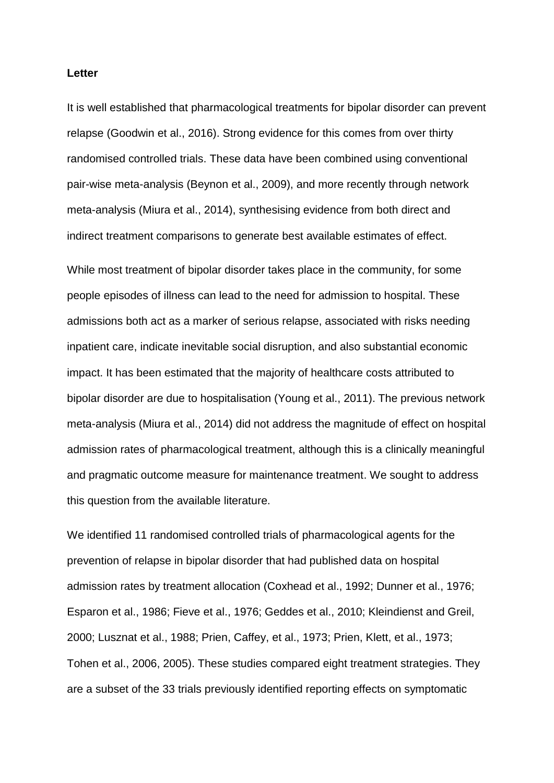#### **Letter**

It is well established that pharmacological treatments for bipolar disorder can prevent relapse (Goodwin et al., 2016). Strong evidence for this comes from over thirty randomised controlled trials. These data have been combined using conventional pair-wise meta-analysis (Beynon et al., 2009), and more recently through network meta-analysis (Miura et al., 2014), synthesising evidence from both direct and indirect treatment comparisons to generate best available estimates of effect.

While most treatment of bipolar disorder takes place in the community, for some people episodes of illness can lead to the need for admission to hospital. These admissions both act as a marker of serious relapse, associated with risks needing inpatient care, indicate inevitable social disruption, and also substantial economic impact. It has been estimated that the majority of healthcare costs attributed to bipolar disorder are due to hospitalisation (Young et al., 2011). The previous network meta-analysis (Miura et al., 2014) did not address the magnitude of effect on hospital admission rates of pharmacological treatment, although this is a clinically meaningful and pragmatic outcome measure for maintenance treatment. We sought to address this question from the available literature.

We identified 11 randomised controlled trials of pharmacological agents for the prevention of relapse in bipolar disorder that had published data on hospital admission rates by treatment allocation (Coxhead et al., 1992; Dunner et al., 1976; Esparon et al., 1986; Fieve et al., 1976; Geddes et al., 2010; Kleindienst and Greil, 2000; Lusznat et al., 1988; Prien, Caffey, et al., 1973; Prien, Klett, et al., 1973; Tohen et al., 2006, 2005). These studies compared eight treatment strategies. They are a subset of the 33 trials previously identified reporting effects on symptomatic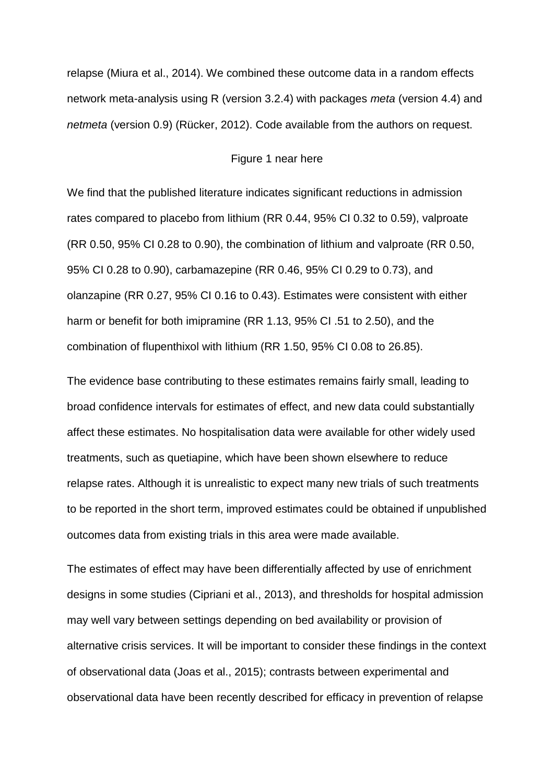relapse (Miura et al., 2014). We combined these outcome data in a random effects network meta-analysis using R (version 3.2.4) with packages *meta* (version 4.4) and *netmeta* (version 0.9) (Rücker, 2012). Code available from the authors on request.

### Figure 1 near here

We find that the published literature indicates significant reductions in admission rates compared to placebo from lithium (RR 0.44, 95% CI 0.32 to 0.59), valproate (RR 0.50, 95% CI 0.28 to 0.90), the combination of lithium and valproate (RR 0.50, 95% CI 0.28 to 0.90), carbamazepine (RR 0.46, 95% CI 0.29 to 0.73), and olanzapine (RR 0.27, 95% CI 0.16 to 0.43). Estimates were consistent with either harm or benefit for both imipramine (RR 1.13, 95% CI .51 to 2.50), and the combination of flupenthixol with lithium (RR 1.50, 95% CI 0.08 to 26.85).

The evidence base contributing to these estimates remains fairly small, leading to broad confidence intervals for estimates of effect, and new data could substantially affect these estimates. No hospitalisation data were available for other widely used treatments, such as quetiapine, which have been shown elsewhere to reduce relapse rates. Although it is unrealistic to expect many new trials of such treatments to be reported in the short term, improved estimates could be obtained if unpublished outcomes data from existing trials in this area were made available.

The estimates of effect may have been differentially affected by use of enrichment designs in some studies (Cipriani et al., 2013), and thresholds for hospital admission may well vary between settings depending on bed availability or provision of alternative crisis services. It will be important to consider these findings in the context of observational data (Joas et al., 2015); contrasts between experimental and observational data have been recently described for efficacy in prevention of relapse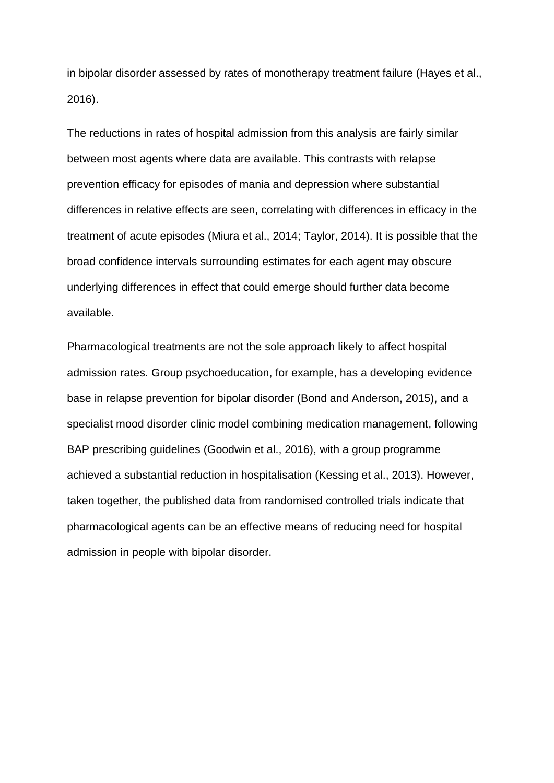in bipolar disorder assessed by rates of monotherapy treatment failure (Hayes et al., 2016).

The reductions in rates of hospital admission from this analysis are fairly similar between most agents where data are available. This contrasts with relapse prevention efficacy for episodes of mania and depression where substantial differences in relative effects are seen, correlating with differences in efficacy in the treatment of acute episodes (Miura et al., 2014; Taylor, 2014). It is possible that the broad confidence intervals surrounding estimates for each agent may obscure underlying differences in effect that could emerge should further data become available.

Pharmacological treatments are not the sole approach likely to affect hospital admission rates. Group psychoeducation, for example, has a developing evidence base in relapse prevention for bipolar disorder (Bond and Anderson, 2015), and a specialist mood disorder clinic model combining medication management, following BAP prescribing guidelines (Goodwin et al., 2016), with a group programme achieved a substantial reduction in hospitalisation (Kessing et al., 2013). However, taken together, the published data from randomised controlled trials indicate that pharmacological agents can be an effective means of reducing need for hospital admission in people with bipolar disorder.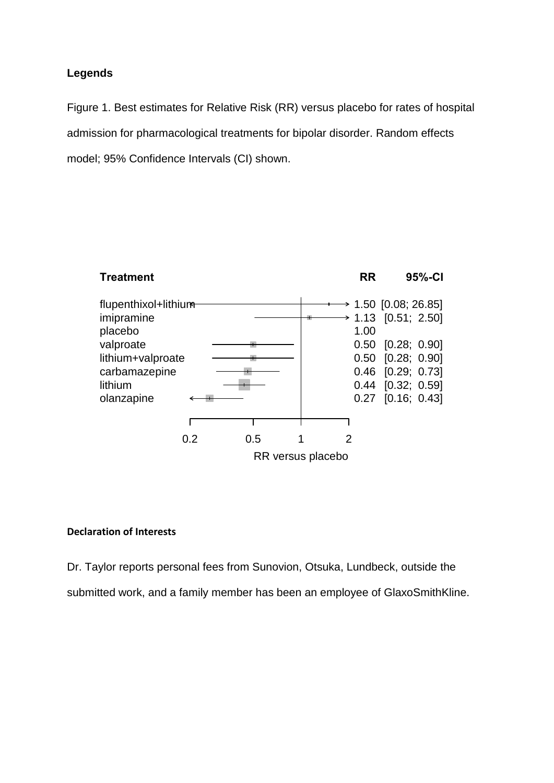# **Legends**

Figure 1. Best estimates for Relative Risk (RR) versus placebo for rates of hospital admission for pharmacological treatments for bipolar disorder. Random effects model; 95% Confidence Intervals (CI) shown.



## **Declaration of Interests**

Dr. Taylor reports personal fees from Sunovion, Otsuka, Lundbeck, outside the submitted work, and a family member has been an employee of GlaxoSmithKline.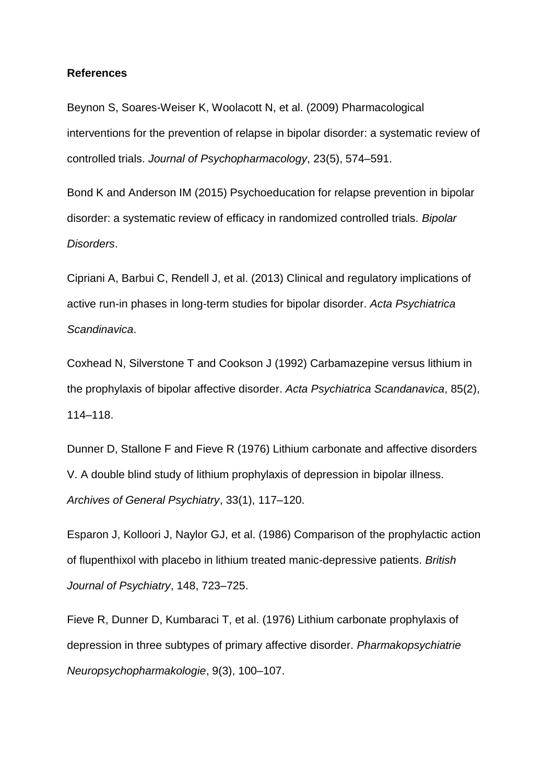#### **References**

Beynon S, Soares-Weiser K, Woolacott N, et al. (2009) Pharmacological interventions for the prevention of relapse in bipolar disorder: a systematic review of controlled trials. *Journal of Psychopharmacology*, 23(5), 574–591.

Bond K and Anderson IM (2015) Psychoeducation for relapse prevention in bipolar disorder: a systematic review of efficacy in randomized controlled trials. *Bipolar Disorders*.

Cipriani A, Barbui C, Rendell J, et al. (2013) Clinical and regulatory implications of active run-in phases in long-term studies for bipolar disorder. *Acta Psychiatrica Scandinavica*.

Coxhead N, Silverstone T and Cookson J (1992) Carbamazepine versus lithium in the prophylaxis of bipolar affective disorder. *Acta Psychiatrica Scandanavica*, 85(2), 114–118.

Dunner D, Stallone F and Fieve R (1976) Lithium carbonate and affective disorders V. A double blind study of lithium prophylaxis of depression in bipolar illness. *Archives of General Psychiatry*, 33(1), 117–120.

Esparon J, Kolloori J, Naylor GJ, et al. (1986) Comparison of the prophylactic action of flupenthixol with placebo in lithium treated manic-depressive patients. *British Journal of Psychiatry*, 148, 723–725.

Fieve R, Dunner D, Kumbaraci T, et al. (1976) Lithium carbonate prophylaxis of depression in three subtypes of primary affective disorder. *Pharmakopsychiatrie Neuropsychopharmakologie*, 9(3), 100–107.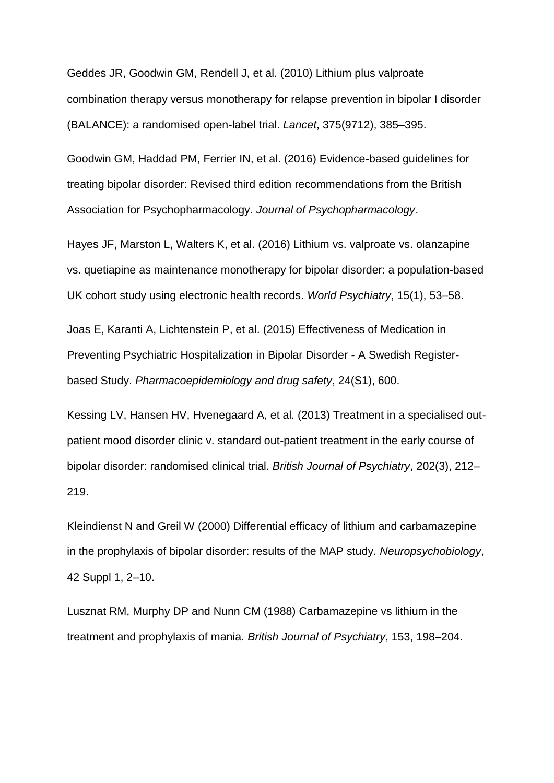Geddes JR, Goodwin GM, Rendell J, et al. (2010) Lithium plus valproate combination therapy versus monotherapy for relapse prevention in bipolar I disorder (BALANCE): a randomised open-label trial. *Lancet*, 375(9712), 385–395.

Goodwin GM, Haddad PM, Ferrier IN, et al. (2016) Evidence-based guidelines for treating bipolar disorder: Revised third edition recommendations from the British Association for Psychopharmacology. *Journal of Psychopharmacology*.

Hayes JF, Marston L, Walters K, et al. (2016) Lithium vs. valproate vs. olanzapine vs. quetiapine as maintenance monotherapy for bipolar disorder: a population-based UK cohort study using electronic health records. *World Psychiatry*, 15(1), 53–58.

Joas E, Karanti A, Lichtenstein P, et al. (2015) Effectiveness of Medication in Preventing Psychiatric Hospitalization in Bipolar Disorder - A Swedish Registerbased Study. *Pharmacoepidemiology and drug safety*, 24(S1), 600.

Kessing LV, Hansen HV, Hvenegaard A, et al. (2013) Treatment in a specialised outpatient mood disorder clinic v. standard out-patient treatment in the early course of bipolar disorder: randomised clinical trial. *British Journal of Psychiatry*, 202(3), 212– 219.

Kleindienst N and Greil W (2000) Differential efficacy of lithium and carbamazepine in the prophylaxis of bipolar disorder: results of the MAP study. *Neuropsychobiology*, 42 Suppl 1, 2–10.

Lusznat RM, Murphy DP and Nunn CM (1988) Carbamazepine vs lithium in the treatment and prophylaxis of mania. *British Journal of Psychiatry*, 153, 198–204.